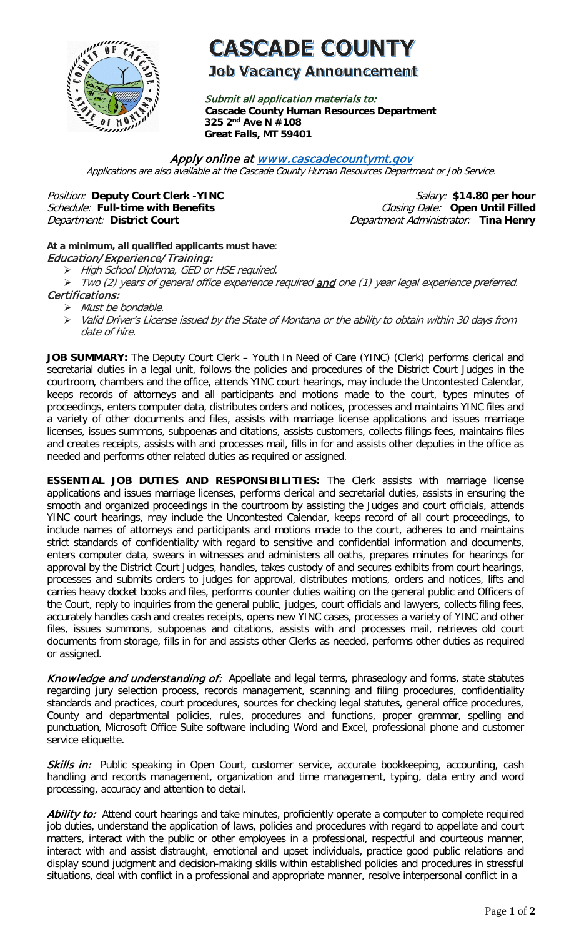

# **CASCADE COUNTY**

## **Job Vacancy Announcement**

Submit all application materials to: **Cascade County Human Resources Department 325 2nd Ave N #108 Great Falls, MT 59401** 

#### Apply online a[t www.cascadecountymt.gov](http://www.cascadecountymt.gov/)

Applications are also available at the Cascade County Human Resources Department or Job Service.

**Position:** Deputy Court Clerk -YINC **Salary: \$14.80** per hour Schedule: Full-time with Benefits **Closing Date:** Open Until Filled Department: District Court **Department Administrator:** Tina Henry

### **At a minimum, all qualified applicants must have**: Education/ Experience/ Training:

- > High School Diploma, GED or HSE required.
- Two (2) years of general office experience required and one (1) year legal experience preferred. Certifications:
	- $\triangleright$  Must be bondable.
	- Valid Driver's License issued by the State of Montana or the ability to obtain within 30 days from date of hire.

JOB SUMMARY: The Deputy Court Clerk - Youth In Need of Care (YINC) (Clerk) performs clerical and secretarial duties in a legal unit, follows the policies and procedures of the District Court Judges in the courtroom, chambers and the office, attends YINC court hearings, may include the Uncontested Calendar, keeps records of attorneys and all participants and motions made to the court, types minutes of proceedings, enters computer data, distributes orders and notices, processes and maintains YINC files and a variety of other documents and files, assists with marriage license applications and issues marriage licenses, issues summons, subpoenas and citations, assists customers, collects filings fees, maintains files and creates receipts, assists with and processes mail, fills in for and assists other deputies in the office as needed and performs other related duties as required or assigned.

**ESSENTIAL JOB DUTIES AND RESPONSIBILITIES:** The Clerk assists with marriage license applications and issues marriage licenses, performs clerical and secretarial duties, assists in ensuring the smooth and organized proceedings in the courtroom by assisting the Judges and court officials, attends YINC court hearings, may include the Uncontested Calendar, keeps record of all court proceedings, to include names of attorneys and participants and motions made to the court, adheres to and maintains strict standards of confidentiality with regard to sensitive and confidential information and documents, enters computer data, swears in witnesses and administers all oaths, prepares minutes for hearings for approval by the District Court Judges, handles, takes custody of and secures exhibits from court hearings, processes and submits orders to judges for approval, distributes motions, orders and notices, lifts and carries heavy docket books and files, performs counter duties waiting on the general public and Officers of the Court, reply to inquiries from the general public, judges, court officials and lawyers, collects filing fees, accurately handles cash and creates receipts, opens new YINC cases, processes a variety of YINC and other files, issues summons, subpoenas and citations, assists with and processes mail, retrieves old court documents from storage, fills in for and assists other Clerks as needed, performs other duties as required or assigned.

Knowledge and understanding of:Appellate and legal terms, phraseology and forms, state statutes regarding jury selection process, records management, scanning and filing procedures, confidentiality standards and practices, court procedures, sources for checking legal statutes, general office procedures, County and departmental policies, rules, procedures and functions, proper grammar, spelling and punctuation, Microsoft Office Suite software including Word and Excel, professional phone and customer service etiquette.

Skills in: Public speaking in Open Court, customer service, accurate bookkeeping, accounting, cash handling and records management, organization and time management, typing, data entry and word processing, accuracy and attention to detail.

Ability to: Attend court hearings and take minutes, proficiently operate a computer to complete required job duties, understand the application of laws, policies and procedures with regard to appellate and court matters, interact with the public or other employees in a professional, respectful and courteous manner, interact with and assist distraught, emotional and upset individuals, practice good public relations and display sound judgment and decision-making skills within established policies and procedures in stressful situations, deal with conflict in a professional and appropriate manner, resolve interpersonal conflict in a